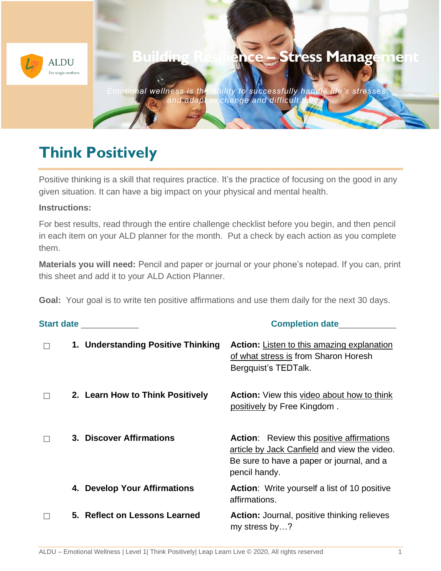

## **Think Positively**

Positive thinking is a skill that requires practice. It's the practice of focusing on the good in any given situation. It can have a big impact on your physical and mental health.

## **Instructions:**

For best results, read through the entire challenge checklist before you begin, and then pencil in each item on your ALD planner for the month. Put a check by each action as you complete them.

**Materials you will need:** Pencil and paper or journal or your phone's notepad. If you can, print this sheet and add it to your ALD Action Planner.

**Goal:** Your goal is to write ten positive affirmations and use them daily for the next 30 days.

|  | Start date ____________            | <b>Completion date</b>                                                                                                                                         |
|--|------------------------------------|----------------------------------------------------------------------------------------------------------------------------------------------------------------|
|  | 1. Understanding Positive Thinking | <b>Action:</b> Listen to this amazing explanation<br>of what stress is from Sharon Horesh<br>Bergquist's TEDTalk.                                              |
|  | 2. Learn How to Think Positively   | <b>Action:</b> View this video about how to think<br>positively by Free Kingdom.                                                                               |
|  | 3. Discover Affirmations           | <b>Action:</b> Review this positive affirmations<br>article by Jack Canfield and view the video.<br>Be sure to have a paper or journal, and a<br>pencil handy. |
|  | 4. Develop Your Affirmations       | <b>Action:</b> Write yourself a list of 10 positive<br>affirmations.                                                                                           |
|  | 5. Reflect on Lessons Learned      | <b>Action:</b> Journal, positive thinking relieves<br>my stress by?                                                                                            |